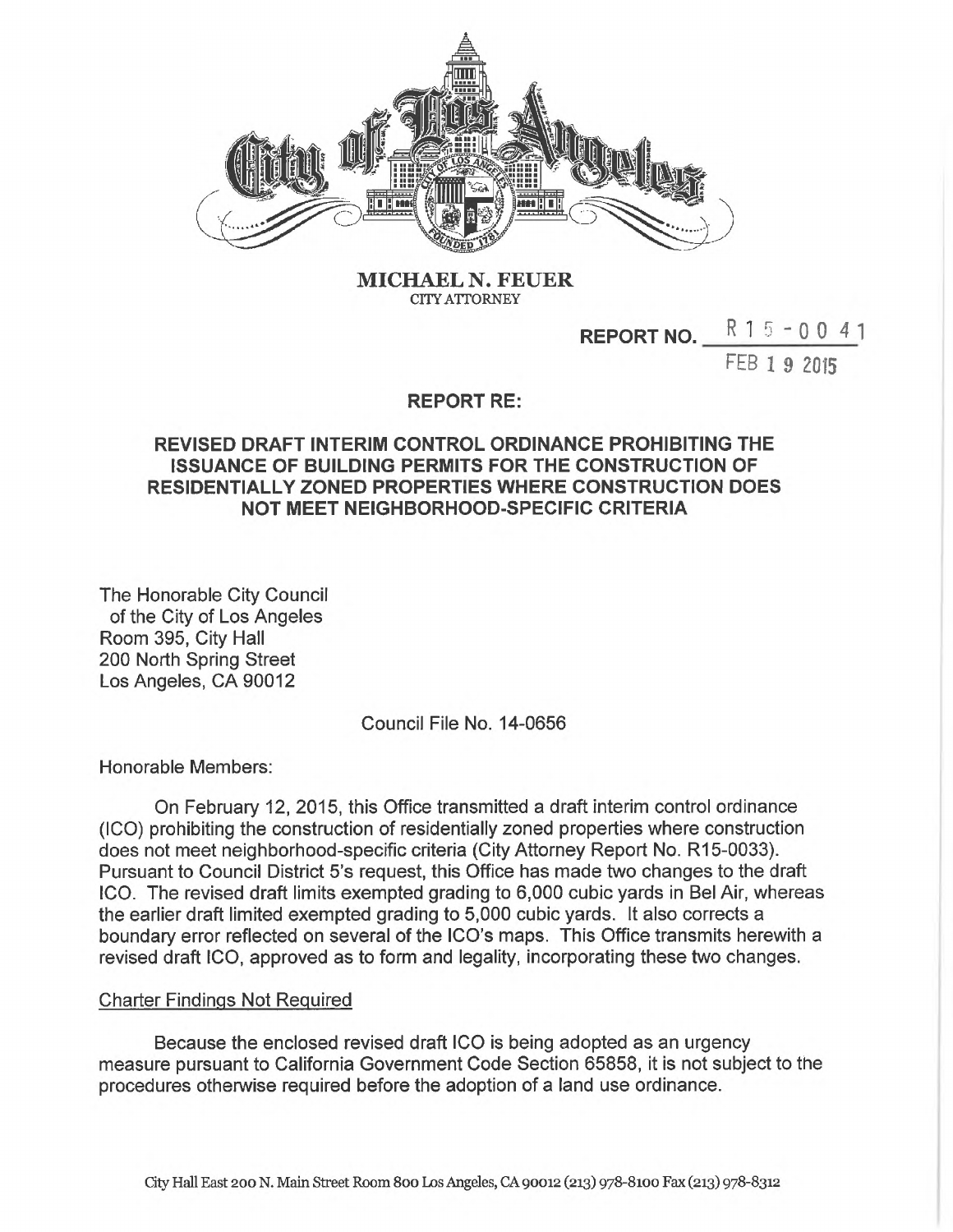

**MICHAEL** N. **FEUER CITYATTORNEY**

> **REPORT NO.**  $R$  1 5 - 0 0 4 1 FEB **1 9** 2015

## **REPORT RE:**

## **REVISED DRAFT INTERIM CONTROL ORDINANCE PROHIBITING THE ISSUANCE OF BUILDING PERMITS FOR THE CONSTRUCTION OF RESIDENTIALLY ZONED PROPERTIES WHERE CONSTRUCTION DOES NOT MEET NEIGHBORHOOD-SPECIFIC CRITERIA**

The Honorable City Council of the City of Los Angeles Room 395, City Hall 200 North Spring Street Los Angeles, CA 90012

## Council File No. 14-0656

Honorable Members:

On February 12, 2015, this Office transmitted a draft interim control ordinance (ICO) prohibiting the construction of residential^ zoned properties where construction does not meet neighborhood-specific criteria (City Attorney Report No. R15-0033). Pursuant to Council District 5's request, this Office has made two changes to the draft ICO. The revised draft limits exempted grading to 6,000 cubic yards in Bel Air, whereas the earlier draft limited exempted grading to 5,000 cubic yards. It also corrects a boundary error reflected on several of the ICO's maps. This Office transmits herewith a revised draft ICO, approved as to form and legality, incorporating these two changes.

## Charter Findings Not Required

Because the enclosed revised draft ICO is being adopted as an urgency measure pursuant to California Government Code Section 65858, it is not subject to the procedures otherwise required before the adoption of a land use ordinance.